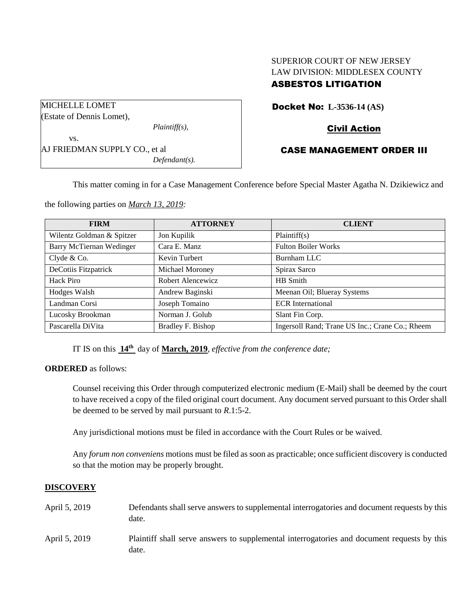# SUPERIOR COURT OF NEW JERSEY LAW DIVISION: MIDDLESEX COUNTY ASBESTOS LITIGATION

|                               | MICHELLE LOMET            |
|-------------------------------|---------------------------|
|                               | (Estate of Dennis Lomet), |
|                               | $Plaintiff(s)$ ,          |
|                               | VS.                       |
| AJ FRIEDMAN SUPPLY CO., et al |                           |
|                               | $Defendant(s)$ .          |
|                               |                           |

## Docket No: **L-3536-14 (AS)**

## Civil Action

## CASE MANAGEMENT ORDER III

This matter coming in for a Case Management Conference before Special Master Agatha N. Dzikiewicz and

the following parties on *March 13, 2019:*

| <b>FIRM</b>               | <b>ATTORNEY</b>   | <b>CLIENT</b>                                   |
|---------------------------|-------------------|-------------------------------------------------|
| Wilentz Goldman & Spitzer | Jon Kupilik       | Plaintiff(s)                                    |
| Barry McTiernan Wedinger  | Cara E. Manz      | <b>Fulton Boiler Works</b>                      |
| Clyde & Co.               | Kevin Turbert     | Burnham LLC                                     |
| DeCotiis Fitzpatrick      | Michael Moroney   | Spirax Sarco                                    |
| Hack Piro                 | Robert Alencewicz | HB Smith                                        |
| Hodges Walsh              | Andrew Baginski   | Meenan Oil; Blueray Systems                     |
| Landman Corsi             | Joseph Tomaino    | <b>ECR</b> International                        |
| Lucosky Brookman          | Norman J. Golub   | Slant Fin Corp.                                 |
| Pascarella DiVita         | Bradley F. Bishop | Ingersoll Rand; Trane US Inc.; Crane Co.; Rheem |

IT IS on this **14th** day of **March, 2019**, *effective from the conference date;*

## **ORDERED** as follows:

Counsel receiving this Order through computerized electronic medium (E-Mail) shall be deemed by the court to have received a copy of the filed original court document. Any document served pursuant to this Order shall be deemed to be served by mail pursuant to *R*.1:5-2.

Any jurisdictional motions must be filed in accordance with the Court Rules or be waived.

Any *forum non conveniens* motions must be filed as soon as practicable; once sufficient discovery is conducted so that the motion may be properly brought.

## **DISCOVERY**

April 5, 2019 Defendants shall serve answers to supplemental interrogatories and document requests by this date. April 5, 2019 Plaintiff shall serve answers to supplemental interrogatories and document requests by this date.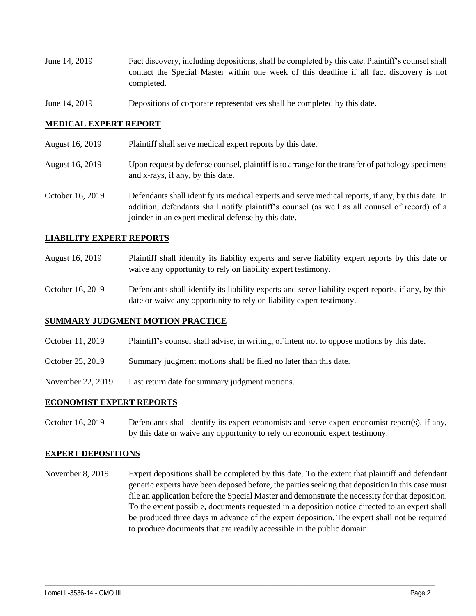- June 14, 2019 Fact discovery, including depositions, shall be completed by this date. Plaintiff's counsel shall contact the Special Master within one week of this deadline if all fact discovery is not completed.
- June 14, 2019 Depositions of corporate representatives shall be completed by this date.

## **MEDICAL EXPERT REPORT**

- August 16, 2019 Plaintiff shall serve medical expert reports by this date.
- August 16, 2019 Upon request by defense counsel, plaintiff is to arrange for the transfer of pathology specimens and x-rays, if any, by this date.
- October 16, 2019 Defendants shall identify its medical experts and serve medical reports, if any, by this date. In addition, defendants shall notify plaintiff's counsel (as well as all counsel of record) of a joinder in an expert medical defense by this date.

## **LIABILITY EXPERT REPORTS**

- August 16, 2019 Plaintiff shall identify its liability experts and serve liability expert reports by this date or waive any opportunity to rely on liability expert testimony.
- October 16, 2019 Defendants shall identify its liability experts and serve liability expert reports, if any, by this date or waive any opportunity to rely on liability expert testimony.

### **SUMMARY JUDGMENT MOTION PRACTICE**

- October 11, 2019 Plaintiff's counsel shall advise, in writing, of intent not to oppose motions by this date.
- October 25, 2019 Summary judgment motions shall be filed no later than this date.
- November 22, 2019 Last return date for summary judgment motions.

## **ECONOMIST EXPERT REPORTS**

October 16, 2019 Defendants shall identify its expert economists and serve expert economist report(s), if any, by this date or waive any opportunity to rely on economic expert testimony.

#### **EXPERT DEPOSITIONS**

November 8, 2019 Expert depositions shall be completed by this date. To the extent that plaintiff and defendant generic experts have been deposed before, the parties seeking that deposition in this case must file an application before the Special Master and demonstrate the necessity for that deposition. To the extent possible, documents requested in a deposition notice directed to an expert shall be produced three days in advance of the expert deposition. The expert shall not be required to produce documents that are readily accessible in the public domain.

 $\_$  ,  $\_$  ,  $\_$  ,  $\_$  ,  $\_$  ,  $\_$  ,  $\_$  ,  $\_$  ,  $\_$  ,  $\_$  ,  $\_$  ,  $\_$  ,  $\_$  ,  $\_$  ,  $\_$  ,  $\_$  ,  $\_$  ,  $\_$  ,  $\_$  ,  $\_$  ,  $\_$  ,  $\_$  ,  $\_$  ,  $\_$  ,  $\_$  ,  $\_$  ,  $\_$  ,  $\_$  ,  $\_$  ,  $\_$  ,  $\_$  ,  $\_$  ,  $\_$  ,  $\_$  ,  $\_$  ,  $\_$  ,  $\_$  ,